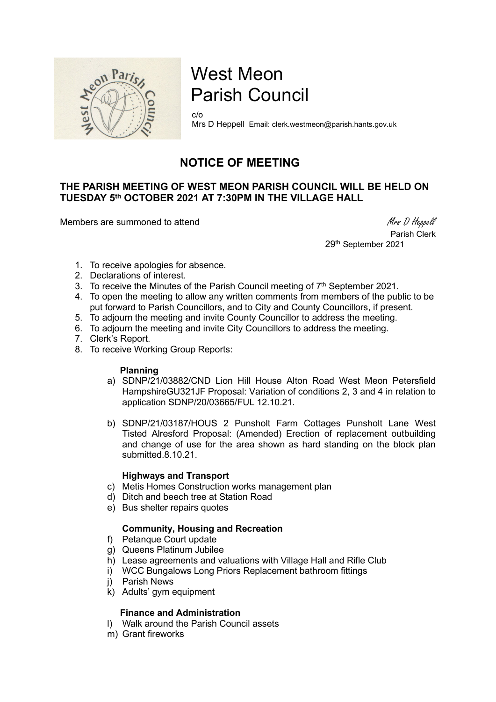

# West Meon Parish Council

c/o Mrs D Heppell Email: clerk.westmeon@parish.hants.gov.uk

# NOTICE OF MEETING

# THE PARISH MEETING OF WEST MEON PARISH COUNCIL WILL BE HELD ON TUESDAY 5th OCTOBER 2021 AT 7:30PM IN THE VILLAGE HALL

Members are summoned to attend Members are summoned to attend Members are summoned to attend Members and Members are summoned to attend  $M$ rs D Heppell

 Parish Clerk 29th September 2021

- 1. To receive apologies for absence.
- 2. Declarations of interest.
- 3. To receive the Minutes of the Parish Council meeting of  $7<sup>th</sup>$  September 2021.
- 4. To open the meeting to allow any written comments from members of the public to be put forward to Parish Councillors, and to City and County Councillors, if present.
- 5. To adjourn the meeting and invite County Councillor to address the meeting.
- 6. To adjourn the meeting and invite City Councillors to address the meeting.
- 7. Clerk's Report.
- 8. To receive Working Group Reports:

#### Planning

- a) SDNP/21/03882/CND Lion Hill House Alton Road West Meon Petersfield HampshireGU321JF Proposal: Variation of conditions 2, 3 and 4 in relation to application SDNP/20/03665/FUL 12.10.21.
- b) SDNP/21/03187/HOUS 2 Punsholt Farm Cottages Punsholt Lane West Tisted Alresford Proposal: (Amended) Erection of replacement outbuilding and change of use for the area shown as hard standing on the block plan submitted.8.10.21.

#### Highways and Transport

- c) Metis Homes Construction works management plan
- d) Ditch and beech tree at Station Road
- e) Bus shelter repairs quotes

## Community, Housing and Recreation

- f) Petanque Court update
- g) Queens Platinum Jubilee
- h) Lease agreements and valuations with Village Hall and Rifle Club
- i) WCC Bungalows Long Priors Replacement bathroom fittings
- j) Parish News
- k) Adults' gym equipment

## Finance and Administration

- l) Walk around the Parish Council assets
- m) Grant fireworks